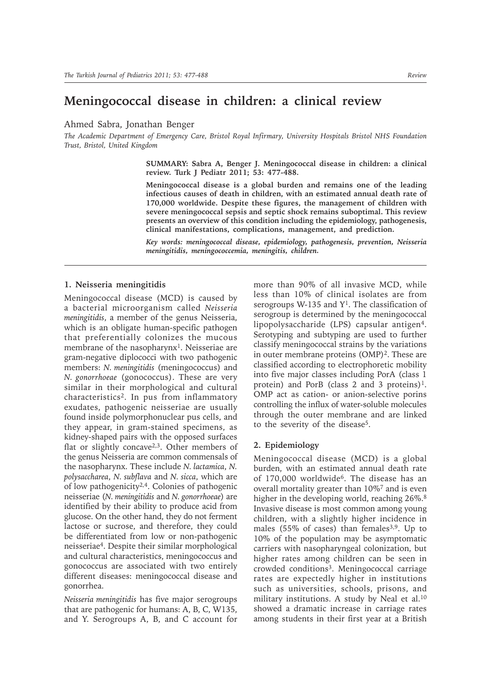# **Meningococcal disease in children: a clinical review**

Ahmed Sabra, Jonathan Benger

*The Academic Department of Emergency Care, Bristol Royal Infirmary, University Hospitals Bristol NHS Foundation Trust, Bristol, United Kingdom*

> **SUMMARY: Sabra A, Benger J. Meningococcal disease in children: a clinical review. Turk J Pediatr 2011; 53: 477-488.**

> **Meningococcal disease is a global burden and remains one of the leading infectious causes of death in children, with an estimated annual death rate of 170,000 worldwide. Despite these figures, the management of children with severe meningococcal sepsis and septic shock remains suboptimal. This review presents an overview of this condition including the epidemiology, pathogenesis, clinical manifestations, complications, management, and prediction.**

> *Key words: meningococcal disease, epidemiology, pathogenesis, prevention, Neisseria meningitidis, meningococcemia, meningitis, children.*

# **1. Neisseria meningitidis**

Meningococcal disease (MCD) is caused by a bacterial microorganism called *Neisseria meningitidis*, a member of the genus Neisseria, which is an obligate human-specific pathogen that preferentially colonizes the mucous membrane of the nasopharynx<sup>1</sup>. Neisseriae are gram-negative diplococci with two pathogenic members: *N. meningitidis* (meningococcus) and *N. gonorrhoeae* (gonococcus). These are very similar in their morphological and cultural characteristics2. In pus from inflammatory exudates, pathogenic neisseriae are usually found inside polymorphonuclear pus cells, and they appear, in gram-stained specimens, as kidney-shaped pairs with the opposed surfaces flat or slightly concave2,3. Other members of the genus Neisseria are common commensals of the nasopharynx. These include *N. lactamica*, *N. polysaccharea*, *N. subflava* and *N. sicca*, which are of low pathogenicity2,4. Colonies of pathogenic neisseriae (*N. meningitidis* and *N. gonorrhoeae*) are identified by their ability to produce acid from glucose. On the other hand, they do not ferment lactose or sucrose, and therefore, they could be differentiated from low or non-pathogenic neisseriae4. Despite their similar morphological and cultural characteristics, meningococcus and gonococcus are associated with two entirely different diseases: meningococcal disease and gonorrhea.

*Neisseria meningitidis* has five major serogroups that are pathogenic for humans: A, B, C, W135, and Y. Serogroups A, B, and C account for more than 90% of all invasive MCD, while less than 10% of clinical isolates are from serogroups W-135 and  $Y^1$ . The classification of serogroup is determined by the meningococcal lipopolysaccharide (LPS) capsular antigen<sup>4</sup>. Serotyping and subtyping are used to further classify meningococcal strains by the variations in outer membrane proteins (OMP)<sup>2</sup>. These are classified according to electrophoretic mobility into five major classes including PorA (class 1 protein) and PorB (class 2 and 3 proteins)<sup>1</sup>. OMP act as cation- or anion-selective porins controlling the influx of water-soluble molecules through the outer membrane and are linked to the severity of the disease5.

## **2. Epidemiology**

Meningococcal disease (MCD) is a global burden, with an estimated annual death rate of 170,000 worldwide6. The disease has an overall mortality greater than 10%7 and is even higher in the developing world, reaching 26%.<sup>8</sup> Invasive disease is most common among young children, with a slightly higher incidence in males (55% of cases) than females<sup>3,9</sup>. Up to 10% of the population may be asymptomatic carriers with nasopharyngeal colonization, but higher rates among children can be seen in crowded conditions<sup>3</sup>. Meningococcal carriage rates are expectedly higher in institutions such as universities, schools, prisons, and military institutions. A study by Neal et al.<sup>10</sup> showed a dramatic increase in carriage rates among students in their first year at a British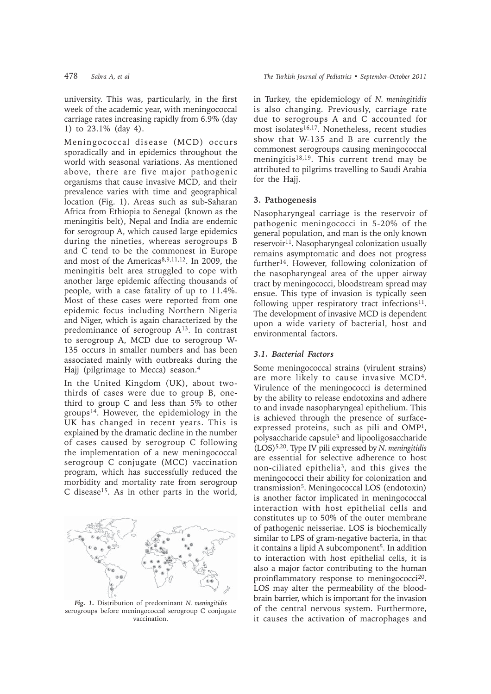university. This was, particularly, in the first week of the academic year, with meningococcal carriage rates increasing rapidly from 6.9% (day 1) to 23.1% (day 4).

Meningococcal disease (MCD) occurs sporadically and in epidemics throughout the world with seasonal variations. As mentioned above, there are five major pathogenic organisms that cause invasive MCD, and their prevalence varies with time and geographical location (Fig. 1). Areas such as sub-Saharan Africa from Ethiopia to Senegal (known as the meningitis belt), Nepal and India are endemic for serogroup A, which caused large epidemics during the nineties, whereas serogroups B and C tend to be the commonest in Europe and most of the Americas<sup>8,9,11,12</sup>. In 2009, the meningitis belt area struggled to cope with another large epidemic affecting thousands of people, with a case fatality of up to 11.4%. Most of these cases were reported from one epidemic focus including Northern Nigeria and Niger, which is again characterized by the predominance of serogroup A13. In contrast to serogroup A, MCD due to serogroup W-135 occurs in smaller numbers and has been associated mainly with outbreaks during the Hajj (pilgrimage to Mecca) season.4

In the United Kingdom (UK), about twothirds of cases were due to group B, onethird to group C and less than 5% to other groups14. However, the epidemiology in the UK has changed in recent years. This is explained by the dramatic decline in the number of cases caused by serogroup C following the implementation of a new meningococcal serogroup C conjugate (MCC) vaccination program, which has successfully reduced the morbidity and mortality rate from serogroup C disease15. As in other parts in the world,



*Fig. 1.* Distribution of predominant *N. meningitidis* serogroups before meningococcal serogroup C conjugate vaccination.

in Turkey, the epidemiology of *N. meningitidis* is also changing. Previously, carriage rate due to serogroups A and C accounted for most isolates<sup>16,17</sup>. Nonetheless, recent studies show that W-135 and B are currently the commonest serogroups causing meningococcal meningitis<sup>18,19</sup>. This current trend may be attributed to pilgrims travelling to Saudi Arabia for the Hajj.

# **3. Pathogenesis**

Nasopharyngeal carriage is the reservoir of pathogenic meningococci in 5-20% of the general population, and man is the only known reservoir<sup>11</sup>. Nasopharyngeal colonization usually remains asymptomatic and does not progress further14. However, following colonization of the nasopharyngeal area of the upper airway tract by meningococci, bloodstream spread may ensue. This type of invasion is typically seen following upper respiratory tract infections $11$ . The development of invasive MCD is dependent upon a wide variety of bacterial, host and environmental factors.

## *3.1. Bacterial Factors*

Some meningococcal strains (virulent strains) are more likely to cause invasive MCD4. Virulence of the meningococci is determined by the ability to release endotoxins and adhere to and invade nasopharyngeal epithelium. This is achieved through the presence of surfaceexpressed proteins, such as pili and OMP1, polysaccharide capsule3 and lipooligosaccharide (LOS)5,20. Type IV pili expressed by *N. meningitidis* are essential for selective adherence to host non-ciliated epithelia3, and this gives the meningococci their ability for colonization and transmission5. Meningococcal LOS (endotoxin) is another factor implicated in meningococcal interaction with host epithelial cells and constitutes up to 50% of the outer membrane of pathogenic neisseriae. LOS is biochemically similar to LPS of gram-negative bacteria, in that it contains a lipid A subcomponent<sup>5</sup>. In addition to interaction with host epithelial cells, it is also a major factor contributing to the human proinflammatory response to meningococci<sup>20</sup>. LOS may alter the permeability of the bloodbrain barrier, which is important for the invasion of the central nervous system. Furthermore, it causes the activation of macrophages and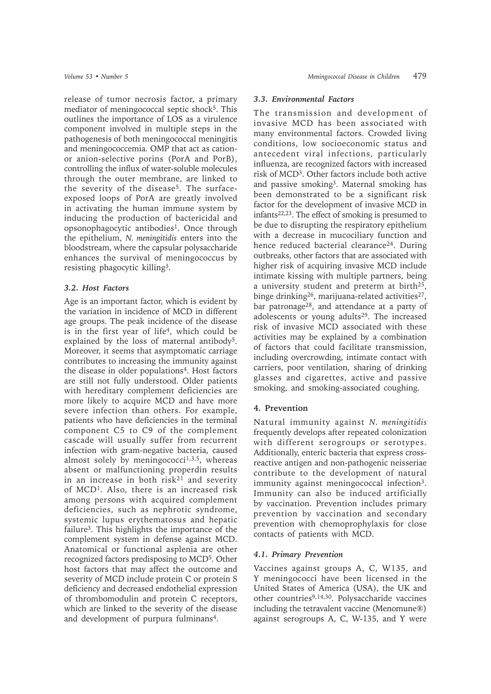release of tumor necrosis factor, a primary mediator of meningococcal septic shock<sup>5</sup>. This outlines the importance of LOS as a virulence component involved in multiple steps in the pathogenesis of both meningococcal meningitis and meningococcemia. OMP that act as cationor anion-selective porins (PorA and PorB), controlling the influx of water-soluble molecules through the outer membrane, are linked to the severity of the disease<sup>5</sup>. The surfaceexposed loops of PorA are greatly involved in activating the human immune system by inducing the production of bactericidal and opsonophagocytic antibodies<sup>1</sup>. Once through the epithelium, *N. meningitidis* enters into the bloodstream, where the capsular polysaccharide enhances the survival of meningococcus by resisting phagocytic killing3.

# *3.2. Host Factors*

Age is an important factor, which is evident by the variation in incidence of MCD in different age groups. The peak incidence of the disease is in the first year of life<sup>4</sup>, which could be explained by the loss of maternal antibody<sup>5</sup>. Moreover, it seems that asymptomatic carriage contributes to increasing the immunity against the disease in older populations<sup>4</sup>. Host factors are still not fully understood. Older patients with hereditary complement deficiencies are more likely to acquire MCD and have more severe infection than others. For example, patients who have deficiencies in the terminal component C5 to C9 of the complement cascade will usually suffer from recurrent infection with gram-negative bacteria, caused almost solely by meningococci $1,3,5$ , whereas absent or malfunctioning properdin results in an increase in both  $risk^{21}$  and severity of MCD1. Also, there is an increased risk among persons with acquired complement deficiencies, such as nephrotic syndrome, systemic lupus erythematosus and hepatic failure3. This highlights the importance of the complement system in defense against MCD. Anatomical or functional asplenia are other recognized factors predisposing to MCD5. Other host factors that may affect the outcome and severity of MCD include protein C or protein S deficiency and decreased endothelial expression of thrombomodulin and protein C receptors, which are linked to the severity of the disease and development of purpura fulminans<sup>4</sup>.

## *3.3. Environmental Factors*

The transmission and development of invasive MCD has been associated with many environmental factors. Crowded living conditions, low socioeconomic status and antecedent viral infections, particularly influenza, are recognized factors with increased risk of MCD3. Other factors include both active and passive smoking<sup>3</sup>. Maternal smoking has been demonstrated to be a significant risk factor for the development of invasive MCD in infants22,23. The effect of smoking is presumed to be due to disrupting the respiratory epithelium with a decrease in mucociliary function and hence reduced bacterial clearance<sup>24</sup>. During outbreaks, other factors that are associated with higher risk of acquiring invasive MCD include intimate kissing with multiple partners, being a university student and preterm at birth<sup>25</sup>, binge drinking<sup>26</sup>, marijuana-related activities<sup>27</sup>, bar patronage<sup>28</sup>, and attendance at a party of adolescents or young adults<sup>29</sup>. The increased risk of invasive MCD associated with these activities may be explained by a combination of factors that could facilitate transmission, including overcrowding, intimate contact with carriers, poor ventilation, sharing of drinking glasses and cigarettes, active and passive smoking, and smoking-associated coughing.

## **4. Prevention**

Natural immunity against *N. meningitidis* frequently develops after repeated colonization with different serogroups or serotypes. Additionally, enteric bacteria that express crossreactive antigen and non-pathogenic neisseriae contribute to the development of natural immunity against meningococcal infection<sup>3</sup>. Immunity can also be induced artificially by vaccination. Prevention includes primary prevention by vaccination and secondary prevention with chemoprophylaxis for close contacts of patients with MCD.

# *4.1. Primary Prevention*

Vaccines against groups A, C, W135, and Y meningococci have been licensed in the United States of America (USA), the UK and other countries<sup>9,14,30</sup>. Polysaccharide vaccines including the tetravalent vaccine (Menomune®) against serogroups A, C, W-135, and Y were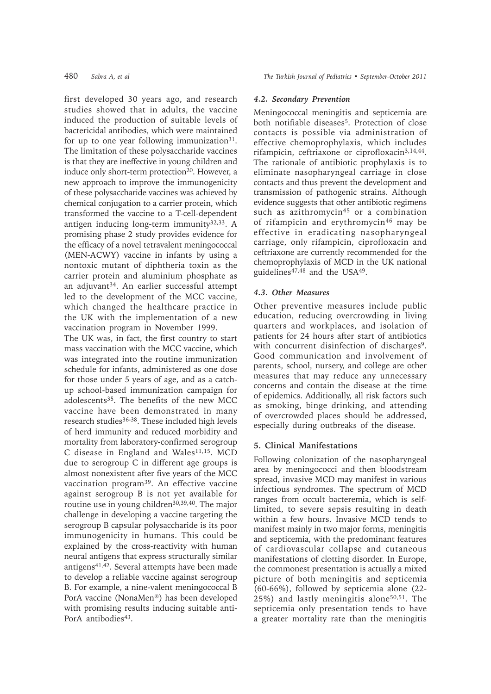first developed 30 years ago, and research studies showed that in adults, the vaccine induced the production of suitable levels of bactericidal antibodies, which were maintained for up to one year following immunization<sup>31</sup>. The limitation of these polysaccharide vaccines is that they are ineffective in young children and induce only short-term protection<sup>20</sup>. However, a new approach to improve the immunogenicity of these polysaccharide vaccines was achieved by chemical conjugation to a carrier protein, which transformed the vaccine to a T-cell-dependent antigen inducing long-term immunity $32,33$ . A promising phase 2 study provides evidence for the efficacy of a novel tetravalent meningococcal (MEN-ACWY) vaccine in infants by using a nontoxic mutant of diphtheria toxin as the carrier protein and aluminium phosphate as an adjuvant<sup>34</sup>. An earlier successful attempt led to the development of the MCC vaccine, which changed the healthcare practice in the UK with the implementation of a new vaccination program in November 1999.

The UK was, in fact, the first country to start mass vaccination with the MCC vaccine, which was integrated into the routine immunization schedule for infants, administered as one dose for those under 5 years of age, and as a catchup school-based immunization campaign for adolescents<sup>35</sup>. The benefits of the new MCC vaccine have been demonstrated in many research studies<sup>36-38</sup>. These included high levels of herd immunity and reduced morbidity and mortality from laboratory-confirmed serogroup C disease in England and Wales<sup>11,15</sup>. MCD due to serogroup C in different age groups is almost nonexistent after five years of the MCC vaccination program39. An effective vaccine against serogroup B is not yet available for routine use in young children<sup>30,39,40</sup>. The major challenge in developing a vaccine targeting the serogroup B capsular polysaccharide is its poor immunogenicity in humans. This could be explained by the cross-reactivity with human neural antigens that express structurally similar antigens41,42. Several attempts have been made to develop a reliable vaccine against serogroup B. For example, a nine-valent meningococcal B PorA vaccine (NonaMen®) has been developed with promising results inducing suitable anti-PorA antibodies<sup>43</sup>.

### *4.2. Secondary Prevention*

Meningococcal meningitis and septicemia are both notifiable diseases<sup>5</sup>. Protection of close contacts is possible via administration of effective chemoprophylaxis, which includes rifampicin, ceftriaxone or ciprofloxacin3,14,44. The rationale of antibiotic prophylaxis is to eliminate nasopharyngeal carriage in close contacts and thus prevent the development and transmission of pathogenic strains. Although evidence suggests that other antibiotic regimens such as azithromycin<sup>45</sup> or a combination of rifampicin and erythromycin46 may be effective in eradicating nasopharyngeal carriage, only rifampicin, ciprofloxacin and ceftriaxone are currently recommended for the chemoprophylaxis of MCD in the UK national guidelines<sup>47,48</sup> and the USA<sup>49</sup>.

# *4.3. Other Measures*

Other preventive measures include public education, reducing overcrowding in living quarters and workplaces, and isolation of patients for 24 hours after start of antibiotics with concurrent disinfection of discharges<sup>9</sup>. Good communication and involvement of parents, school, nursery, and college are other measures that may reduce any unnecessary concerns and contain the disease at the time of epidemics. Additionally, all risk factors such as smoking, binge drinking, and attending of overcrowded places should be addressed, especially during outbreaks of the disease.

#### **5. Clinical Manifestations**

Following colonization of the nasopharyngeal area by meningococci and then bloodstream spread, invasive MCD may manifest in various infectious syndromes. The spectrum of MCD ranges from occult bacteremia, which is selflimited, to severe sepsis resulting in death within a few hours. Invasive MCD tends to manifest mainly in two major forms, meningitis and septicemia, with the predominant features of cardiovascular collapse and cutaneous manifestations of clotting disorder. In Europe, the commonest presentation is actually a mixed picture of both meningitis and septicemia (60-66%), followed by septicemia alone (22- 25%) and lastly meningitis alone50,51. The septicemia only presentation tends to have a greater mortality rate than the meningitis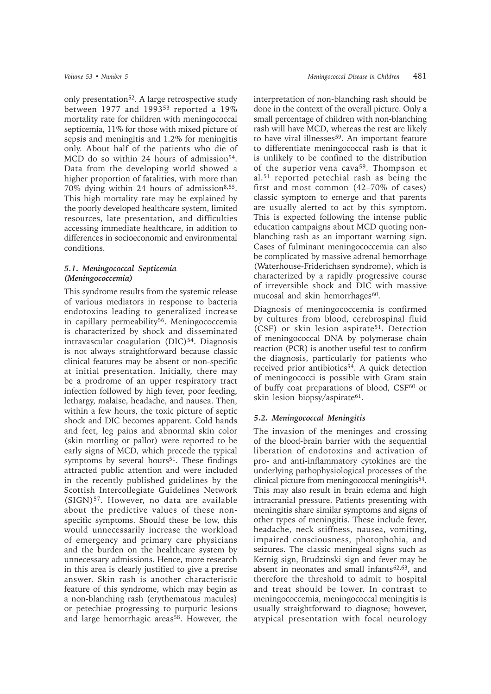only presentation<sup>52</sup>. A large retrospective study between 1977 and 199353 reported a 19% mortality rate for children with meningococcal septicemia, 11% for those with mixed picture of sepsis and meningitis and 1.2% for meningitis only. About half of the patients who die of MCD do so within 24 hours of admission<sup>54</sup>. Data from the developing world showed a higher proportion of fatalities, with more than 70% dying within 24 hours of admission<sup>8,55</sup>. This high mortality rate may be explained by the poorly developed healthcare system, limited resources, late presentation, and difficulties accessing immediate healthcare, in addition to differences in socioeconomic and environmental conditions.

# *5.1. Meningococcal Septicemia (Meningococcemia)*

This syndrome results from the systemic release of various mediators in response to bacteria endotoxins leading to generalized increase in capillary permeability<sup>56</sup>. Meningococcemia is characterized by shock and disseminated intravascular coagulation (DIC)<sup>54</sup>. Diagnosis is not always straightforward because classic clinical features may be absent or non-specific at initial presentation. Initially, there may be a prodrome of an upper respiratory tract infection followed by high fever, poor feeding, lethargy, malaise, headache, and nausea. Then, within a few hours, the toxic picture of septic shock and DIC becomes apparent. Cold hands and feet, leg pains and abnormal skin color (skin mottling or pallor) were reported to be early signs of MCD, which precede the typical symptoms by several hours<sup>51</sup>. These findings attracted public attention and were included in the recently published guidelines by the Scottish Intercollegiate Guidelines Network (SIGN)57. However, no data are available about the predictive values of these nonspecific symptoms. Should these be low, this would unnecessarily increase the workload of emergency and primary care physicians and the burden on the healthcare system by unnecessary admissions. Hence, more research in this area is clearly justified to give a precise answer. Skin rash is another characteristic feature of this syndrome, which may begin as a non-blanching rash (erythematous macules) or petechiae progressing to purpuric lesions and large hemorrhagic areas<sup>58</sup>. However, the

interpretation of non-blanching rash should be done in the context of the overall picture. Only a small percentage of children with non-blanching rash will have MCD, whereas the rest are likely to have viral illnesses<sup>59</sup>. An important feature to differentiate meningococcal rash is that it is unlikely to be confined to the distribution of the superior vena cava<sup>59</sup>. Thompson et al.51 reported petechial rash as being the first and most common (42–70% of cases) classic symptom to emerge and that parents are usually alerted to act by this symptom. This is expected following the intense public education campaigns about MCD quoting nonblanching rash as an important warning sign. Cases of fulminant meningococcemia can also be complicated by massive adrenal hemorrhage (Waterhouse-Friderichsen syndrome), which is characterized by a rapidly progressive course of irreversible shock and DIC with massive mucosal and skin hemorrhages<sup>60</sup>.

Diagnosis of meningococcemia is confirmed by cultures from blood, cerebrospinal fluid (CSF) or skin lesion aspirate<sup>51</sup>. Detection of meningococcal DNA by polymerase chain reaction (PCR) is another useful test to confirm the diagnosis, particularly for patients who received prior antibiotics<sup>54</sup>. A quick detection of meningococci is possible with Gram stain of buffy coat preparations of blood, CSF<sup>60</sup> or skin lesion biopsy/aspirate<sup>61</sup>.

# *5.2. Meningococcal Meningitis*

The invasion of the meninges and crossing of the blood-brain barrier with the sequential liberation of endotoxins and activation of pro- and anti-inflammatory cytokines are the underlying pathophysiological processes of the clinical picture from meningococcal meningitis<sup>54</sup>. This may also result in brain edema and high intracranial pressure. Patients presenting with meningitis share similar symptoms and signs of other types of meningitis. These include fever, headache, neck stiffness, nausea, vomiting, impaired consciousness, photophobia, and seizures. The classic meningeal signs such as Kernig sign, Brudzinski sign and fever may be absent in neonates and small infants<sup>62,63</sup>, and therefore the threshold to admit to hospital and treat should be lower. In contrast to meningococcemia, meningococcal meningitis is usually straightforward to diagnose; however, atypical presentation with focal neurology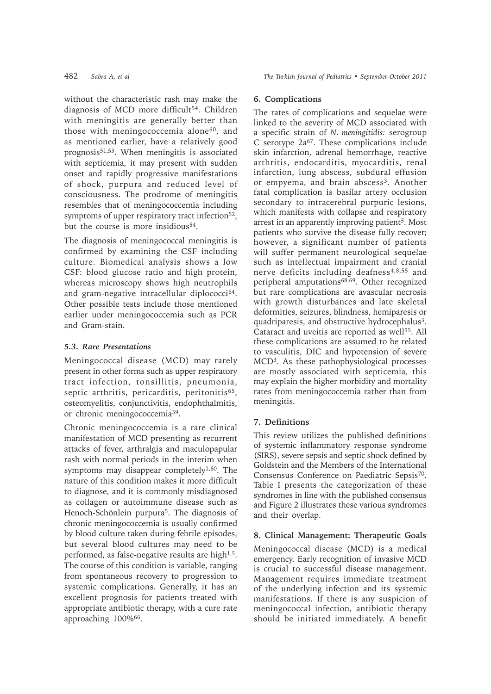without the characteristic rash may make the diagnosis of MCD more difficult<sup>54</sup>. Children with meningitis are generally better than those with meningococcemia alone<sup>60</sup>, and as mentioned earlier, have a relatively good prognosis51,53. When meningitis is associated with septicemia, it may present with sudden onset and rapidly progressive manifestations of shock, purpura and reduced level of consciousness. The prodrome of meningitis resembles that of meningococcemia including symptoms of upper respiratory tract infection<sup>52</sup>, but the course is more insidious<sup>54</sup>.

The diagnosis of meningococcal meningitis is confirmed by examining the CSF including culture. Biomedical analysis shows a low CSF: blood glucose ratio and high protein, whereas microscopy shows high neutrophils and gram-negative intracellular diplococci<sup>64</sup>. Other possible tests include those mentioned earlier under meningococcemia such as PCR and Gram-stain.

# *5.3. Rare Presentations*

Meningococcal disease (MCD) may rarely present in other forms such as upper respiratory tract infection, tonsillitis, pneumonia, septic arthritis, pericarditis, peritonitis<sup>65</sup>, osteomyelitis, conjunctivitis, endophthalmitis, or chronic meningococcemia39.

Chronic meningococcemia is a rare clinical manifestation of MCD presenting as recurrent attacks of fever, arthralgia and maculopapular rash with normal periods in the interim when symptoms may disappear completely<sup>1,60</sup>. The nature of this condition makes it more difficult to diagnose, and it is commonly misdiagnosed as collagen or autoimmune disease such as Henoch-Schönlein purpura5. The diagnosis of chronic meningococcemia is usually confirmed by blood culture taken during febrile episodes, but several blood cultures may need to be performed, as false-negative results are high<sup>1,5</sup>. The course of this condition is variable, ranging from spontaneous recovery to progression to systemic complications. Generally, it has an excellent prognosis for patients treated with appropriate antibiotic therapy, with a cure rate approaching 100%66.

# **6. Complications**

The rates of complications and sequelae were linked to the severity of MCD associated with a specific strain of *N. meningitidis:* serogroup  $C$  serotype  $2a^{67}$ . These complications include skin infarction, adrenal hemorrhage, reactive arthritis, endocarditis, myocarditis, renal infarction, lung abscess, subdural effusion or empyema, and brain abscess<sup>3</sup>. Another fatal complication is basilar artery occlusion secondary to intracerebral purpuric lesions, which manifests with collapse and respiratory arrest in an apparently improving patient<sup>5</sup>. Most patients who survive the disease fully recover; however, a significant number of patients will suffer permanent neurological sequelae such as intellectual impairment and cranial nerve deficits including deafness<sup>4,8,55</sup> and peripheral amputations<sup>68,69</sup>. Other recognized but rare complications are avascular necrosis with growth disturbances and late skeletal deformities, seizures, blindness, hemiparesis or quadriparesis, and obstructive hydrocephalus<sup>3</sup>. Cataract and uveitis are reported as well<sup>55</sup>. All these complications are assumed to be related to vasculitis, DIC and hypotension of severe MCD3. As these pathophysiological processes are mostly associated with septicemia, this may explain the higher morbidity and mortality rates from meningococcemia rather than from meningitis.

# **7. Definitions**

This review utilizes the published definitions of systemic inflammatory response syndrome (SIRS), severe sepsis and septic shock defined by Goldstein and the Members of the International Consensus Conference on Paediatric Sepsis70. Table I presents the categorization of these syndromes in line with the published consensus and Figure 2 illustrates these various syndromes and their overlap.

# **8. Clinical Management: Therapeutic Goals**

Meningococcal disease (MCD) is a medical emergency. Early recognition of invasive MCD is crucial to successful disease management. Management requires immediate treatment of the underlying infection and its systemic manifestations. If there is any suspicion of meningococcal infection, antibiotic therapy should be initiated immediately. A benefit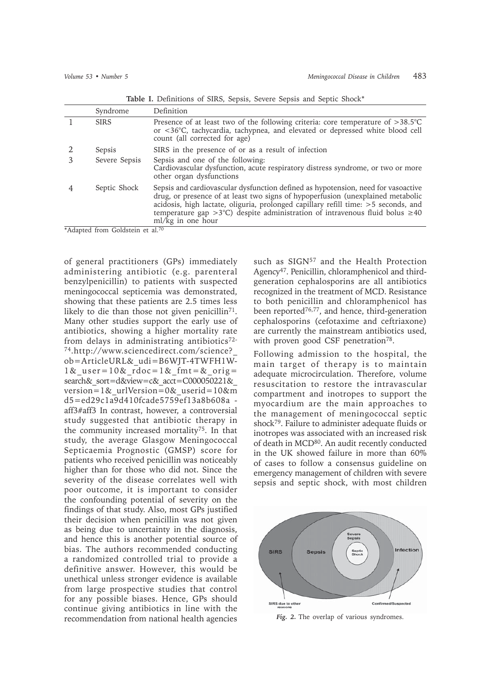|  |  |  |  | Table I. Definitions of SIRS, Sepsis, Severe Sepsis and Septic Shock* |
|--|--|--|--|-----------------------------------------------------------------------|
|--|--|--|--|-----------------------------------------------------------------------|

| Syndrome      | Definition                                                                                                                                                                                                                                                                                                                                                                     |
|---------------|--------------------------------------------------------------------------------------------------------------------------------------------------------------------------------------------------------------------------------------------------------------------------------------------------------------------------------------------------------------------------------|
| <b>SIRS</b>   | Presence of at least two of the following criteria: core temperature of $>38.5^{\circ}$ C<br>or <36°C, tachycardia, tachypnea, and elevated or depressed white blood cell<br>count (all corrected for age)                                                                                                                                                                     |
| Sepsis        | SIRS in the presence of or as a result of infection                                                                                                                                                                                                                                                                                                                            |
| Severe Sepsis | Sepsis and one of the following:<br>Cardiovascular dysfunction, acute respiratory distress syndrome, or two or more<br>other organ dysfunctions                                                                                                                                                                                                                                |
| Septic Shock  | Sepsis and cardiovascular dysfunction defined as hypotension, need for vasoactive<br>drug, or presence of at least two signs of hypoperfusion (unexplained metabolic<br>acidosis, high lactate, oliguria, prolonged capillary refill time: >5 seconds, and<br>temperature gap $>3^{\circ}$ C) despite administration of intravenous fluid bolus $\geq 40$<br>ml/kg in one hour |

\*Adapted from Goldstein et al.70

of general practitioners (GPs) immediately administering antibiotic (e.g. parenteral benzylpenicillin) to patients with suspected meningococcal septicemia was demonstrated, showing that these patients are 2.5 times less likely to die than those not given penicillin<sup>71</sup>. Many other studies support the early use of antibiotics, showing a higher mortality rate from delays in administrating antibiotics<sup>72-</sup> 74.http://www.sciencedirect.com/science?\_ ob=ArticleURL&\_udi=B6WJT-4TWFH1W-1& user=10& rdoc=1&  $fmt=$  orig= search& sort=d&view=c& acct=C000050221& version=1&\_urlVersion=0&\_userid=10&m d5=ed29c1a9d410fcade5759ef13a8b608a aff3#aff3 In contrast, however, a controversial

study suggested that antibiotic therapy in the community increased mortality75. In that study, the average Glasgow Meningococcal Septicaemia Prognostic (GMSP) score for patients who received penicillin was noticeably higher than for those who did not. Since the severity of the disease correlates well with poor outcome, it is important to consider the confounding potential of severity on the findings of that study. Also, most GPs justified their decision when penicillin was not given as being due to uncertainty in the diagnosis, and hence this is another potential source of bias. The authors recommended conducting a randomized controlled trial to provide a definitive answer. However, this would be unethical unless stronger evidence is available from large prospective studies that control for any possible biases. Hence, GPs should continue giving antibiotics in line with the recommendation from national health agencies

such as SIGN<sup>57</sup> and the Health Protection Agency47. Penicillin, chloramphenicol and thirdgeneration cephalosporins are all antibiotics recognized in the treatment of MCD. Resistance to both penicillin and chloramphenicol has been reported<sup>76,77</sup>, and hence, third-generation cephalosporins (cefotaxime and ceftriaxone) are currently the mainstream antibiotics used, with proven good CSF penetration<sup>78</sup>.

Following admission to the hospital, the main target of therapy is to maintain adequate microcirculation. Therefore, volume resuscitation to restore the intravascular compartment and inotropes to support the myocardium are the main approaches to the management of meningococcal septic shock79. Failure to administer adequate fluids or inotropes was associated with an increased risk of death in MCD<sup>80</sup>. An audit recently conducted in the UK showed failure in more than 60% of cases to follow a consensus guideline on emergency management of children with severe sepsis and septic shock, with most children



*Fig. 2.* The overlap of various syndromes.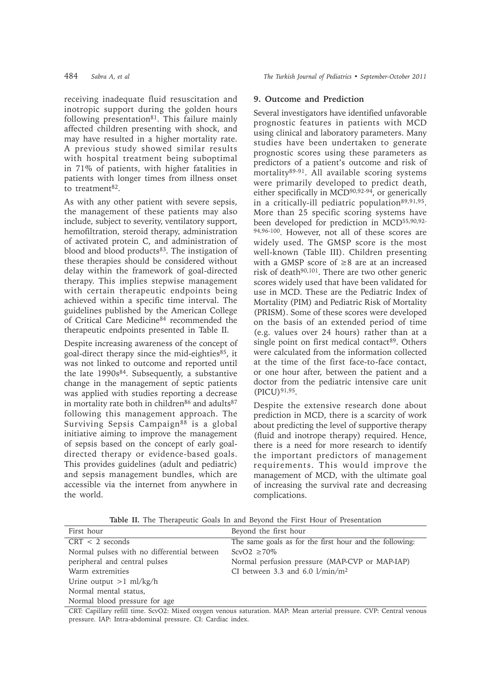receiving inadequate fluid resuscitation and inotropic support during the golden hours following presentation<sup>81</sup>. This failure mainly affected children presenting with shock, and may have resulted in a higher mortality rate. A previous study showed similar results with hospital treatment being suboptimal in 71% of patients, with higher fatalities in patients with longer times from illness onset to treatment $82$ .

As with any other patient with severe sepsis, the management of these patients may also include, subject to severity, ventilatory support, hemofiltration, steroid therapy, administration of activated protein C, and administration of blood and blood products<sup>83</sup>. The instigation of these therapies should be considered without delay within the framework of goal-directed therapy. This implies stepwise management with certain therapeutic endpoints being achieved within a specific time interval. The guidelines published by the American College of Critical Care Medicine84 recommended the therapeutic endpoints presented in Table II.

Despite increasing awareness of the concept of goal-direct therapy since the mid-eighties<sup>85</sup>, it was not linked to outcome and reported until the late  $1990s^{84}$ . Subsequently, a substantive change in the management of septic patients was applied with studies reporting a decrease in mortality rate both in children<sup>86</sup> and adults<sup>87</sup> following this management approach. The Surviving Sepsis Campaign<sup>88</sup> is a global initiative aiming to improve the management of sepsis based on the concept of early goaldirected therapy or evidence-based goals. This provides guidelines (adult and pediatric) and sepsis management bundles, which are accessible via the internet from anywhere in the world.

# **9. Outcome and Prediction**

Several investigators have identified unfavorable prognostic features in patients with MCD using clinical and laboratory parameters. Many studies have been undertaken to generate prognostic scores using these parameters as predictors of a patient's outcome and risk of mortality<sup>89-91</sup>. All available scoring systems were primarily developed to predict death, either specifically in  $MCD^{90,92-94}$ , or generically in a critically-ill pediatric population<sup>89,91,95</sup>. More than 25 specific scoring systems have been developed for prediction in MCD<sup>55,90,92-</sup> 94,96-100. However, not all of these scores are widely used. The GMSP score is the most well-known (Table III). Children presenting with a GMSP score of ≥8 are at an increased risk of death90,101. There are two other generic scores widely used that have been validated for use in MCD. These are the Pediatric Index of Mortality (PIM) and Pediatric Risk of Mortality (PRISM). Some of these scores were developed on the basis of an extended period of time (e.g. values over 24 hours) rather than at a single point on first medical contact $89$ . Others were calculated from the information collected at the time of the first face-to-face contact, or one hour after, between the patient and a doctor from the pediatric intensive care unit (PICU)91,95.

Despite the extensive research done about prediction in MCD, there is a scarcity of work about predicting the level of supportive therapy (fluid and inotrope therapy) required. Hence, there is a need for more research to identify the important predictors of management requirements. This would improve the management of MCD, with the ultimate goal of increasing the survival rate and decreasing complications.

**Table II.** The Therapeutic Goals In and Beyond the First Hour of Presentation

| First hour                                                                                                          | Beyond the first hour                                   |  |  |
|---------------------------------------------------------------------------------------------------------------------|---------------------------------------------------------|--|--|
| $CRT < 2$ seconds                                                                                                   | The same goals as for the first hour and the following: |  |  |
| Normal pulses with no differential between                                                                          | $ScvO2 \geq 70\%$                                       |  |  |
| peripheral and central pulses                                                                                       | Normal perfusion pressure (MAP-CVP or MAP-IAP)          |  |  |
| Warm extremities                                                                                                    | CI between 3.3 and 6.0 $1/\text{min}/\text{m}^2$        |  |  |
| Urine output $>1$ ml/kg/h                                                                                           |                                                         |  |  |
| Normal mental status,                                                                                               |                                                         |  |  |
| Normal blood pressure for age                                                                                       |                                                         |  |  |
| CRT: Capillary refill time, ScyO2: Mixed oxygen venous saturation. MAP: Mean arterial pressure, CVP: Central venous |                                                         |  |  |

CRT: Capillary refill time. ScvO2: Mixed oxygen venous saturation. MAP: Mean arterial pressure. CVP: Central venous pressure. IAP: Intra-abdominal pressure. CI: Cardiac index.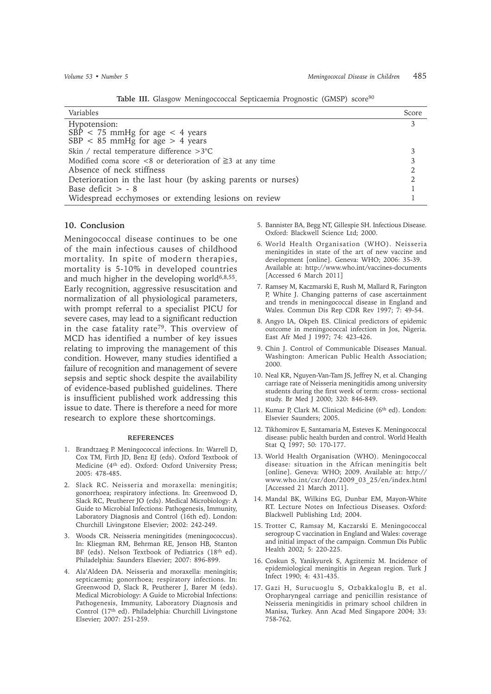| Variables                                                            | Score |
|----------------------------------------------------------------------|-------|
| Hypotension:                                                         | 3     |
| $SB\bar{P}$ < 75 mmHg for age < 4 years                              |       |
| $SBP < 85$ mmHg for age $> 4$ years                                  |       |
| Skin / rectal temperature difference >3°C                            |       |
| Modified coma score $\lt 8$ or deterioration of $\geq 3$ at any time |       |
| Absence of neck stiffness                                            |       |
| Deterioration in the last hour (by asking parents or nurses)         |       |
| Base deficit $> -8$                                                  |       |
| Widespread ecchymoses or extending lesions on review                 |       |
|                                                                      |       |

Table III. Glasgow Meningoccoccal Septicaemia Prognostic (GMSP) score<sup>90</sup>

## **10. Conclusion**

Meningococcal disease continues to be one of the main infectious causes of childhood mortality. In spite of modern therapies, mortality is 5-10% in developed countries and much higher in the developing world $6,8,55$ . Early recognition, aggressive resuscitation and normalization of all physiological parameters, with prompt referral to a specialist PICU for severe cases, may lead to a significant reduction in the case fatality rate79. This overview of MCD has identified a number of key issues relating to improving the management of this condition. However, many studies identified a failure of recognition and management of severe sepsis and septic shock despite the availability of evidence-based published guidelines. There is insufficient published work addressing this issue to date. There is therefore a need for more research to explore these shortcomings.

#### **REFERENCES**

- 1. Brandtzaeg P. Meningococcal infections. In: Warrell D, Cox TM, Firth JD, Benz EJ (eds). Oxford Textbook of Medicine (4th ed). Oxford: Oxford University Press; 2005: 478-485.
- 2. Slack RC. Neisseria and moraxella: meningitis; gonorrhoea; respiratory infections. In: Greenwood D, Slack RC, Peutherer JO (eds). Medical Microbiology: A Guide to Microbial Infections: Pathogenesis, Immunity, Laboratory Diagnosis and Control (16th ed). London: Churchill Livingstone Elsevier; 2002: 242-249.
- 3. Woods CR. Neisseria meningitides (meningococcus). In: Kliegman RM, Behrman RE, Jenson HB, Stanton BF (eds). Nelson Textbook of Pediatrics (18<sup>th</sup> ed). Philadelphia: Saunders Elsevier; 2007: 896-899.
- 4. Ala'Aldeen DA. Neisseria and moraxella: meningitis; septicaemia; gonorrhoea; respiratory infections. In: Greenwood D, Slack R, Peutherer J, Barer M (eds). Medical Microbiology: A Guide to Microbial Infections: Pathogenesis, Immunity, Laboratory Diagnosis and Control (17th ed). Philadelphia: Churchill Livingstone Elsevier; 2007: 251-259.
- 5. Bannister BA, Begg NT, Gillespie SH. Infectious Disease. Oxford: Blackwell Science Ltd; 2000.
- 6. World Health Organisation (WHO). Neisseria meningitides in state of the art of new vaccine and development [online]. Geneva: WHO; 2006: 35-39. Available at: http://www.who.int/vaccines-documents [Accessed 6 March 2011]
- 7. Ramsey M, Kaczmarski E, Rush M, Mallard R, Farington P, White J. Changing patterns of case ascertainment and trends in meningococcal disease in England and Wales. Commun Dis Rep CDR Rev 1997; 7: 49-54.
- 8. Angyo IA, Okpeh ES. Clinical predictors of epidemic outcome in meningococcal infection in Jos, Nigeria. East Afr Med J 1997; 74: 423-426.
- 9. Chin J. Control of Communicable Diseases Manual. Washington: American Public Health Association; 2000.
- 10. Neal KR, Nguyen-Van-Tam JS, Jeffrey N, et al. Changing carriage rate of Neisseria meningitidis among university students during the first week of term: cross- sectional study. Br Med J 2000; 320: 846-849.
- 11. Kumar P, Clark M. Clinical Medicine (6th ed). London: Elsevier Saunders; 2005.
- 12. Tikhomirov E, Santamaria M, Esteves K. Meningococcal disease: public health burden and control. World Health Stat Q 1997; 50: 170-177.
- 13. World Health Organisation (WHO). Meningococcal disease: situation in the African meningitis belt [online]. Geneva: WHO; 2009. Available at: http:// www.who.int/csr/don/2009\_03\_25/en/index.html [Accessed 21 March 2011].
- 14. Mandal BK, Wilkins EG, Dunbar EM, Mayon-White RT. Lecture Notes on Infectious Diseases. Oxford: Blackwell Publishing Ltd; 2004.
- 15. Trotter C, Ramsay M, Kaczarski E. Meningococcal serogroup C vaccination in England and Wales: coverage and initial impact of the campaign. Commun Dis Public Health 2002; 5: 220-225.
- 16. Coskun S, Yanikyurek S, Agzitemiz M. Incidence of epidemiological meningitis in Aegean region. Turk J Infect 1990; 4: 431-435.
- 17. Gazi H, Surucuoglu S, Ozbakkaloglu B, et al. Oropharyngeal carriage and penicillin resistance of Neisseria meningitidis in primary school children in Manisa, Turkey. Ann Acad Med Singapore 2004; 33: 758-762.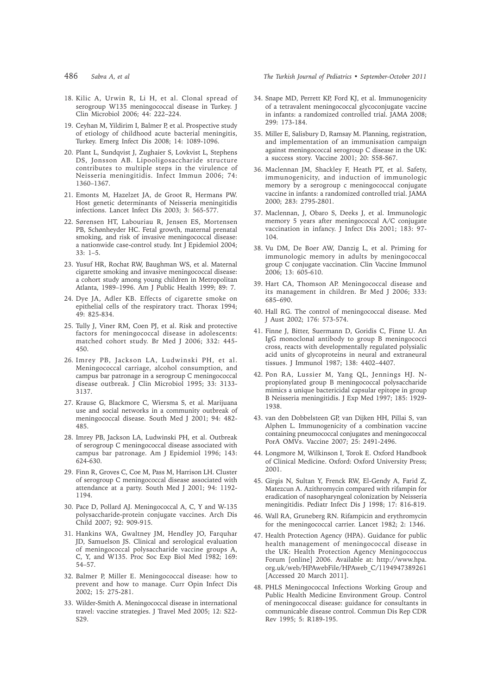- 
- 18. Kilic A, Urwin R, Li H, et al. Clonal spread of serogroup W135 meningococcal disease in Turkey. J Clin Microbiol 2006; 44: 222–224.
- 19. Ceyhan M, Yildirim I, Balmer P, et al. Prospective study of etiology of childhood acute bacterial meningitis, Turkey. Emerg Infect Dis 2008; 14: 1089-1096.
- 20. Plant L, Sundqvist J, Zughaier S, Lovkvist L, Stephens DS, Jonsson AB. Lipooligosaccharide structure contributes to multiple steps in the virulence of Neisseria meningitidis. Infect Immun 2006; 74: 1360–1367.
- 21. Emonts M, Hazelzet JA, de Groot R, Hermans PW. Host genetic determinants of Neisseria meningitidis infections. Lancet Infect Dis 2003; 3: 565-577.
- 22. Sørensen HT, Labouriau R, Jensen ES, Mortensen PB, Schønheyder HC. Fetal growth, maternal prenatal smoking, and risk of invasive meningococcal disease: a nationwide case-control study. Int J Epidemiol 2004; 33: 1–5.
- 23. Yusuf HR, Rochat RW, Baughman WS, et al. Maternal cigarette smoking and invasive meningococcal disease: a cohort study among young children in Metropolitan Atlanta, 1989–1996. Am J Public Health 1999; 89: 7.
- 24. Dye JA, Adler KB. Effects of cigarette smoke on epithelial cells of the respiratory tract. Thorax 1994; 49: 825-834.
- 25. Tully J, Viner RM, Coen PJ, et al. Risk and protective factors for meningococcal disease in adolescents: matched cohort study. Br Med J 2006; 332: 445- 450.
- 26. Imrey PB, Jackson LA, Ludwinski PH, et al. Meningococcal carriage, alcohol consumption, and campus bar patronage in a serogroup C meningococcal disease outbreak. J Clin Microbiol 1995; 33: 3133- 3137.
- 27. Krause G, Blackmore C, Wiersma S, et al. Marijuana use and social networks in a community outbreak of meningococcal disease. South Med J 2001; 94: 482- 485.
- 28. Imrey PB, Jackson LA, Ludwinski PH, et al. Outbreak of serogroup C meningococcal disease associated with campus bar patronage. Am J Epidemiol 1996; 143: 624-630.
- 29. Finn R, Groves C, Coe M, Pass M, Harrison LH. Cluster of serogroup C meningococcal disease associated with attendance at a party. South Med J 2001; 94: 1192- 1194.
- 30. Pace D, Pollard AJ. Meningococcal A, C, Y and W-135 polysaccharide-protein conjugate vaccines. Arch Dis Child 2007; 92: 909-915.
- 31. Hankins WA, Gwaltney JM, Hendley JO, Farquhar JD, Samuelson JS. Clinical and serological evaluation of meningococcal polysaccharide vaccine groups A, C, Y, and W135. Proc Soc Exp Biol Med 1982; 169: 54–57.
- 32. Balmer P, Miller E. Meningococcal disease: how to prevent and how to manage. Curr Opin Infect Dis 2002; 15: 275-281.
- 33. Wilder-Smith A. Meningococcal disease in international travel: vaccine strategies. J Travel Med 2005; 12: S22- S29.

486 *Sabra A, et al The Turkish Journal of Pediatrics • September-October 2011*

- 34. Snape MD, Perrett KP, Ford KJ, et al. Immunogenicity of a tetravalent meningococcal glycoconjugate vaccine in infants: a randomized controlled trial. JAMA 2008; 299: 173-184.
- 35. Miller E, Salisbury D, Ramsay M. Planning, registration, and implementation of an immunisation campaign against meningococcal serogroup C disease in the UK: a success story. Vaccine 2001; 20: S58-S67.
- 36. Maclennan JM, Shackley F, Heath PT, et al. Safety, immunogenicity, and induction of immunologic memory by a serogroup c meningococcal conjugate vaccine in infants: a randomized controlled trial. JAMA 2000; 283: 2795-2801.
- 37. Maclennan, J, Obaro S, Deeks J, et al. Immunologic memory 5 years after meningococcal A/C conjugate vaccination in infancy. J Infect Dis 2001; 183: 97- 104.
- 38. Vu DM, De Boer AW, Danzig L, et al. Priming for immunologic memory in adults by meningococcal group C conjugate vaccination. Clin Vaccine Immunol 2006; 13: 605-610.
- 39. Hart CA, Thomson AP. Meningococcal disease and its management in children. Br Med J 2006; 333: 685–690.
- 40. Hall RG. The control of meningococcal disease. Med J Aust 2002; 176: 573-574.
- 41. Finne J, Bitter, Suermann D, Goridis C, Finne U. An IgG monoclonal antibody to group B meningococci cross, reacts with developmentally regulated polysialic acid units of glycoproteins in neural and extraneural tissues. J Immunol 1987; 138: 4402–4407.
- 42. Pon RA, Lussier M, Yang QL, Jennings HJ. Npropionylated group B meningococcal polysaccharide mimics a unique bactericidal capsular epitope in group B Neisseria meningitidis. J Exp Med 1997; 185: 1929- 1938.
- 43. van den Dobbelsteen GP, van Dijken HH, Pillai S, van Alphen L. Immunogenicity of a combination vaccine containing pneumococcal conjugates and meningococcal PorA OMVs. Vaccine 2007; 25: 2491-2496.
- 44. Longmore M, Wilkinson I, Torok E. Oxford Handbook of Clinical Medicine. Oxford: Oxford University Press; 2001.
- 45. Girgis N, Sultan Y, Frenck RW, El-Gendy A, Farid Z, Matezcun A. Azithromycin compared with rifampin for eradication of nasopharyngeal colonization by Neisseria meningitidis. Pediatr Infect Dis J 1998; 17: 816-819.
- 46. Wall RA, Gruneberg RN. Rifampicin and erythromycin for the meningococcal carrier. Lancet 1982; 2: 1346.
- 47. Health Protection Agency (HPA). Guidance for public health management of meningococcal disease in the UK: Health Protection Agency Meningococcus Forum [online] 2006. Available at: http://www.hpa. org.uk/web/HPAwebFile/HPAweb\_C/1194947389261 [Accessed 20 March 2011].
- 48. PHLS Meningococcal Infections Working Group and Public Health Medicine Environment Group. Control of meningococcal disease: guidance for consultants in communicable disease control. Commun Dis Rep CDR Rev 1995; 5: R189-195.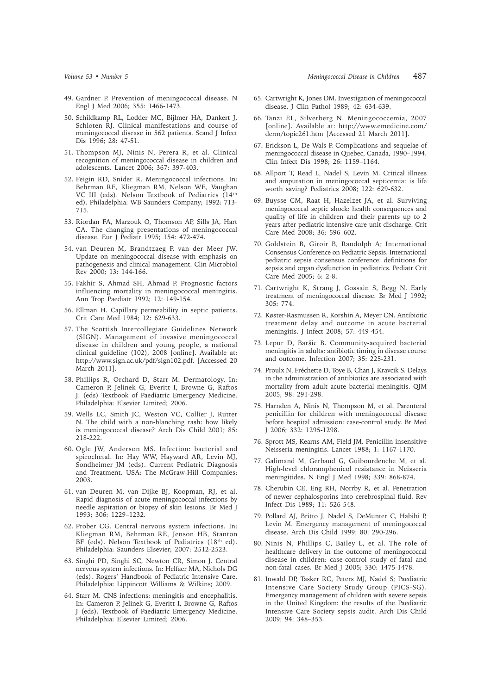- 50. Schildkamp RL, Lodder MC, Bijlmer HA, Dankert J, Schloten RJ. Clinical manifestations and course of meningococcal disease in 562 patients. Scand J Infect Dis 1996; 28: 47-51.
- 51. Thompson MJ, Ninis N, Perera R, et al. Clinical recognition of meningococcal disease in children and adolescents. Lancet 2006; 367: 397-403.
- 52. Feigin RD, Snider R. Meningococcal infections. In: Behrman RE, Kliegman RM, Nelson WE, Vaughan VC III (eds). Nelson Textbook of Pediatrics (14th ed). Philadelphia: WB Saunders Company; 1992: 713- 715.
- 53. Riordan FA, Marzouk O, Thomson AP, Sills JA, Hart CA. The changing presentations of meningococcal disease. Eur J Pediatr 1995; 154: 472-474.
- 54. van Deuren M, Brandtzaeg P, van der Meer JW. Update on meningococcal disease with emphasis on pathogenesis and clinical management. Clin Microbiol Rev 2000; 13: 144-166.
- 55. Fakhir S, Ahmad SH, Ahmad P. Prognostic factors influencing mortality in meningococcal meningitis. Ann Trop Paediatr 1992; 12: 149-154.
- 56. Ellman H. Capillary permeability in septic patients. Crit Care Med 1984; 12: 629-633.
- 57. The Scottish Intercollegiate Guidelines Network (SIGN). Management of invasive meningococcal disease in children and young people, a national clinical guideline (102), 2008 [online]. Available at: http://www.sign.ac.uk/pdf/sign102.pdf. [Accessed 20 March 2011].
- 58. Phillips R, Orchard D, Starr M. Dermatology. In: Cameron P, Jelinek G, Everitt I, Browne G, Raftos J. (eds) Textbook of Paediatric Emergency Medicine. Philadelphia: Elsevier Limited; 2006.
- 59. Wells LC, Smith JC, Weston VC, Collier J, Rutter N. The child with a non-blanching rash: how likely is meningococcal disease? Arch Dis Child 2001; 85: 218-222.
- 60. Ogle JW, Anderson MS. Infection: bacterial and spirochetal. In: Hay WW, Hayward AR, Levin MJ, Sondheimer JM (eds). Current Pediatric Diagnosis and Treatment. USA: The McGraw-Hill Companies; 2003.
- 61. van Deuren M, van Dijke BJ, Koopman, RJ, et al. Rapid diagnosis of acute meningococcal infections by needle aspiration or biopsy of skin lesions. Br Med J 1993; 306: 1229–1232.
- 62. Prober CG. Central nervous system infections. In: Kliegman RM, Behrman RE, Jenson HB, Stanton BF (eds). Nelson Textbook of Pediatrics (18<sup>th</sup> ed). Philadelphia: Saunders Elsevier; 2007: 2512-2523.
- 63. Singhi PD, Singhi SC, Newton CR, Simon J. Central nervous system infections. In: Helfaer MA, Nichols DG (eds). Rogers' Handbook of Pediatric Intensive Care. Philadelphia: Lippincott Williams & Wilkins; 2009.
- 64. Starr M. CNS infections: meningitis and encephalitis. In: Cameron P, Jelinek G, Everitt I, Browne G, Raftos J (eds). Textbook of Paediatric Emergency Medicine. Philadelphia: Elsevier Limited; 2006.
- 65. Cartwright K, Jones DM. Investigation of meningococcal disease. J Clin Pathol 1989; 42: 634-639.
- 66. Tanzi EL, Silverberg N. Meningococcemia, 2007 [online]. Available at: http://www.emedicine.com/ derm/topic261.htm [Accessed 21 March 2011].
- 67. Erickson L, De Wals P. Complications and sequelae of meningococcal disease in Quebec, Canada, 1990–1994. Clin Infect Dis 1998; 26: 1159–1164.
- 68. Allport T, Read L, Nadel S, Levin M. Critical illness and amputation in meningococcal septicemia: is life worth saving? Pediatrics 2008; 122: 629-632.
- 69. Buysse CM, Raat H, Hazelzet JA, et al. Surviving meningococcal septic shock: health consequences and quality of life in children and their parents up to 2 years after pediatric intensive care unit discharge. Crit Care Med 2008; 36: 596–602.
- 70. Goldstein B, Giroir B, Randolph A; International Consensus Conference on Pediatric Sepsis. International pediatric sepsis consensus conference: definitions for sepsis and organ dysfunction in pediatrics. Pediatr Crit Care Med 2005; 6: 2-8.
- 71. Cartwright K, Strang J, Gossain S, Begg N. Early treatment of meningococcal disease. Br Med J 1992; 305: 774.
- 72. Køster-Rasmussen R, Korshin A, Meyer CN. Antibiotic treatment delay and outcome in acute bacterial meningitis. J Infect 2008; 57: 449-454.
- 73. Lepur D, Baršic B. Community-acquired bacterial meningitis in adults: antibiotic timing in disease course and outcome. Infection 2007; 35: 225-231.
- 74. Proulx N, Fréchette D, Toye B, Chan J, Kravcik S. Delays in the administration of antibiotics are associated with mortality from adult acute bacterial meningitis. QJM 2005; 98: 291-298.
- 75. Harnden A, Ninis N, Thompson M, et al. Parenteral penicillin for children with meningococcal disease before hospital admission: case-control study. Br Med J 2006; 332: 1295-1298.
- 76. Sprott MS, Kearns AM, Field JM. Penicillin insensitive Neisseria meningitis. Lancet 1988; 1: 1167-1170.
- 77. Galimand M, Gerbaud G, Guibourdenche M, et al. High-level chloramphenicol resistance in Neisseria meningitides. N Engl J Med 1998; 339: 868-874.
- 78. Cherubin CE, Eng RH, Norrby R, et al. Penetration of newer cephalosporins into cerebrospinal fluid. Rev Infect Dis 1989; 11: 526-548.
- 79. Pollard AJ, Britto J, Nadel S, DeMunter C, Habibi P, Levin M. Emergency management of meningococcal disease. Arch Dis Child 1999; 80: 290-296.
- 80. Ninis N, Phillips C, Bailey L, et al. The role of healthcare delivery in the outcome of meningococcal disease in children: case-control study of fatal and non-fatal cases. Br Med J 2005; 330: 1475-1478.
- 81. Inwald DP, Tasker RC, Peters MJ, Nadel S; Paediatric Intensive Care Society Study Group (PICS-SG). Emergency management of children with severe sepsis in the United Kingdom: the results of the Paediatric Intensive Care Society sepsis audit. Arch Dis Child 2009; 94: 348–353.